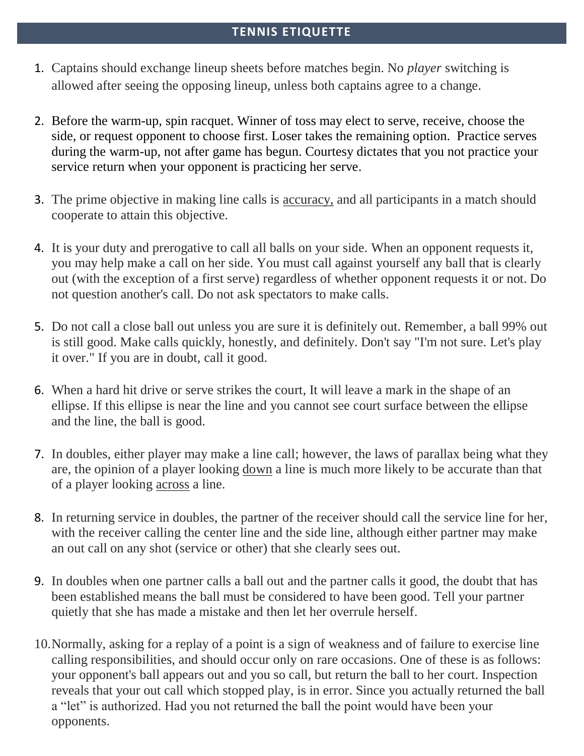## **TENNIS ETIQUETTE**

- 1. Captains should exchange lineup sheets before matches begin. No *player* switching is allowed after seeing the opposing lineup, unless both captains agree to a change.
- 2. Before the warm-up, spin racquet. Winner of toss may elect to serve, receive, choose the side, or request opponent to choose first. Loser takes the remaining option. Practice serves during the warm-up, not after game has begun. Courtesy dictates that you not practice your service return when your opponent is practicing her serve.
- 3. The prime objective in making line calls is accuracy, and all participants in a match should cooperate to attain this objective.
- 4. It is your duty and prerogative to call all balls on your side. When an opponent requests it, you may help make a call on her side. You must call against yourself any ball that is clearly out (with the exception of a first serve) regardless of whether opponent requests it or not. Do not question another's call. Do not ask spectators to make calls.
- 5. Do not call a close ball out unless you are sure it is definitely out. Remember, a ball 99% out is still good. Make calls quickly, honestly, and definitely. Don't say "I'm not sure. Let's play it over." If you are in doubt, call it good.
- 6. When a hard hit drive or serve strikes the court, It will leave a mark in the shape of an ellipse. If this ellipse is near the line and you cannot see court surface between the ellipse and the line, the ball is good.
- 7. In doubles, either player may make a line call; however, the laws of parallax being what they are, the opinion of a player looking down a line is much more likely to be accurate than that of a player looking across a line.
- 8. In returning service in doubles, the partner of the receiver should call the service line for her, with the receiver calling the center line and the side line, although either partner may make an out call on any shot (service or other) that she clearly sees out.
- 9. In doubles when one partner calls a ball out and the partner calls it good, the doubt that has been established means the ball must be considered to have been good. Tell your partner quietly that she has made a mistake and then let her overrule herself.
- 10.Normally, asking for a replay of a point is a sign of weakness and of failure to exercise line calling responsibilities, and should occur only on rare occasions. One of these is as follows: your opponent's ball appears out and you so call, but return the ball to her court. Inspection reveals that your out call which stopped play, is in error. Since you actually returned the ball a "let" is authorized. Had you not returned the ball the point would have been your opponents.